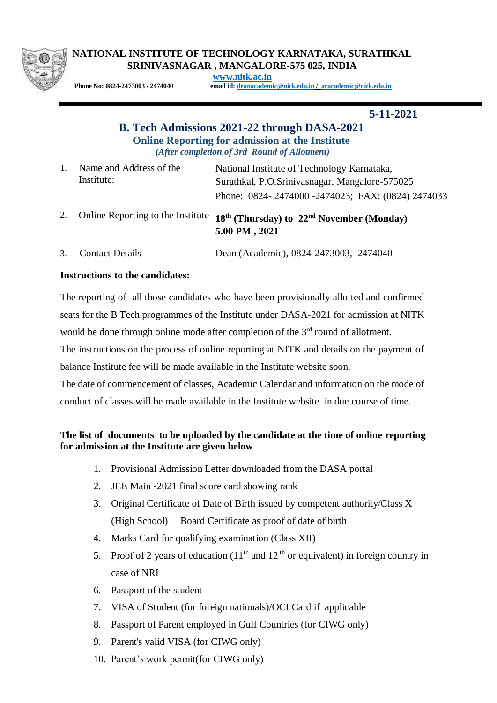

## **NATIONAL INSTITUTE OF TECHNOLOGY KARNATAKA, SURATHKAL SRINIVASNAGAR , MANGALORE-575 025, INDIA**

**[www.nitk.ac.in](http://www.nitk.ac.in/)**

**Phone No: 0824-2473003 / 2474040 email id: [deanacademic@nitk.edu.in](mailto:deanacademic@nitk.edu.in) / [aracademic@nitk.edu.in](mailto:aracademic@nitk.edu.in)**

 **5-11-2021**

## **B. Tech Admissions 2021-22 through DASA-2021 Online Reporting for admission at the Institute** *(After completion of 3rd Round of Allotment)*

|  | Name and Address of the | National Institute of Technology Karnataka,      |
|--|-------------------------|--------------------------------------------------|
|  | Institute:              | Surathkal, P.O.Srinivasnagar, Mangalore-575025   |
|  |                         | Phone: 0824-2474000-2474023; FAX: (0824) 2474033 |

- 2. Online Reporting to the Institute **18 th (Thursday) to 22nd November (Monday) 5.00 PM , 2021**
- 3. Contact Details Dean (Academic), 0824-2473003, 2474040

## **Instructions to the candidates:**

The reporting of all those candidates who have been provisionally allotted and confirmed seats for the B Tech programmes of the Institute under DASA-2021 for admission at NITK would be done through online mode after completion of the 3<sup>rd</sup> round of allotment.

The instructions on the process of online reporting at NITK and details on the payment of balance Institute fee will be made available in the Institute website soon.

The date of commencement of classes, Academic Calendar and information on the mode of conduct of classes will be made available in the Institute website in due course of time.

## **The list of documents to be uploaded by the candidate at the time of online reporting for admission at the Institute are given below**

- 1. Provisional Admission Letter downloaded from the DASA portal
- 2. JEE Main -2021 final score card showing rank
- 3. Original Certificate of Date of Birth issued by competent authority/Class X (High School) Board Certificate as proof of date of birth
- 4. Marks Card for qualifying examination (Class XII)
- 5. Proof of 2 years of education  $(11<sup>th</sup>$  and  $12<sup>th</sup>$  or equivalent) in foreign country in case of NRI
- 6. Passport of the student
- 7. VISA of Student (for foreign nationals)/OCI Card if applicable
- 8. Passport of Parent employed in Gulf Countries (for CIWG only)
- 9. Parent's valid VISA (for CIWG only)
- 10. Parent's work permit(for CIWG only)